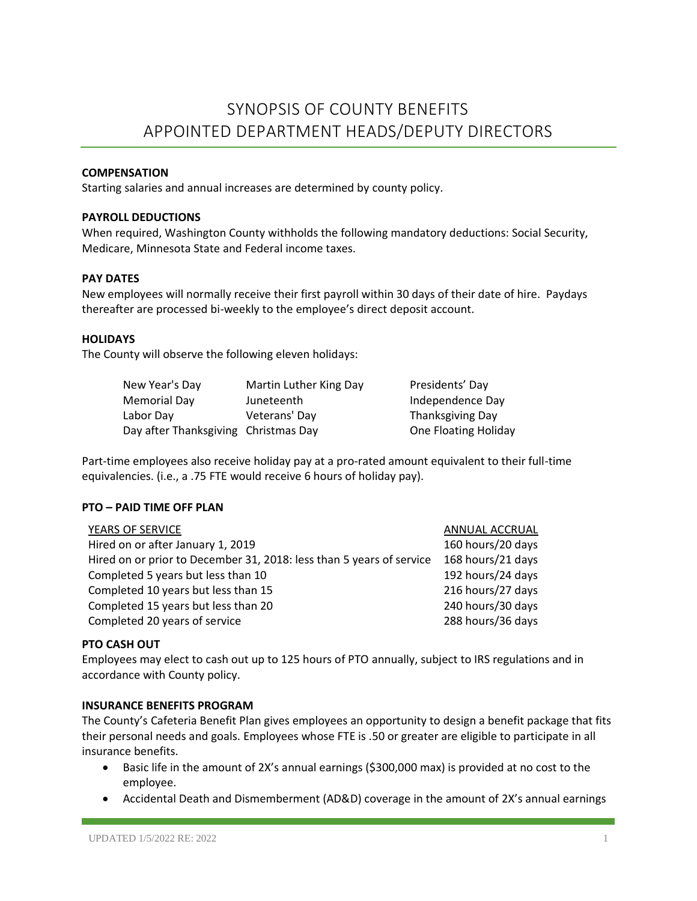# SYNOPSIS OF COUNTY BENEFITS APPOINTED DEPARTMENT HEADS/DEPUTY DIRECTORS

## **COMPENSATION**

Starting salaries and annual increases are determined by county policy.

#### **PAYROLL DEDUCTIONS**

When required, Washington County withholds the following mandatory deductions: Social Security, Medicare, Minnesota State and Federal income taxes.

# **PAY DATES**

New employees will normally receive their first payroll within 30 days of their date of hire. Paydays thereafter are processed bi-weekly to the employee's direct deposit account.

## **HOLIDAYS**

The County will observe the following eleven holidays:

| New Year's Day                       | Martin Luther King Day | Presidents' Day         |
|--------------------------------------|------------------------|-------------------------|
| Memorial Day                         | Juneteenth             | Independence Day        |
| Labor Day                            | Veterans' Day          | <b>Thanksgiving Day</b> |
| Day after Thanksgiving Christmas Day |                        | One Floating Holiday    |

Part-time employees also receive holiday pay at a pro-rated amount equivalent to their full-time equivalencies. (i.e., a .75 FTE would receive 6 hours of holiday pay).

#### **PTO – PAID TIME OFF PLAN**

| ANNUAL ACCRUAL    |
|-------------------|
| 160 hours/20 days |
| 168 hours/21 days |
| 192 hours/24 days |
| 216 hours/27 days |
| 240 hours/30 days |
| 288 hours/36 days |
|                   |

#### **PTO CASH OUT**

Employees may elect to cash out up to 125 hours of PTO annually, subject to IRS regulations and in accordance with County policy.

#### **INSURANCE BENEFITS PROGRAM**

The County's Cafeteria Benefit Plan gives employees an opportunity to design a benefit package that fits their personal needs and goals. Employees whose FTE is .50 or greater are eligible to participate in all insurance benefits.

- Basic life in the amount of 2X's annual earnings (\$300,000 max) is provided at no cost to the employee.
- Accidental Death and Dismemberment (AD&D) coverage in the amount of 2X's annual earnings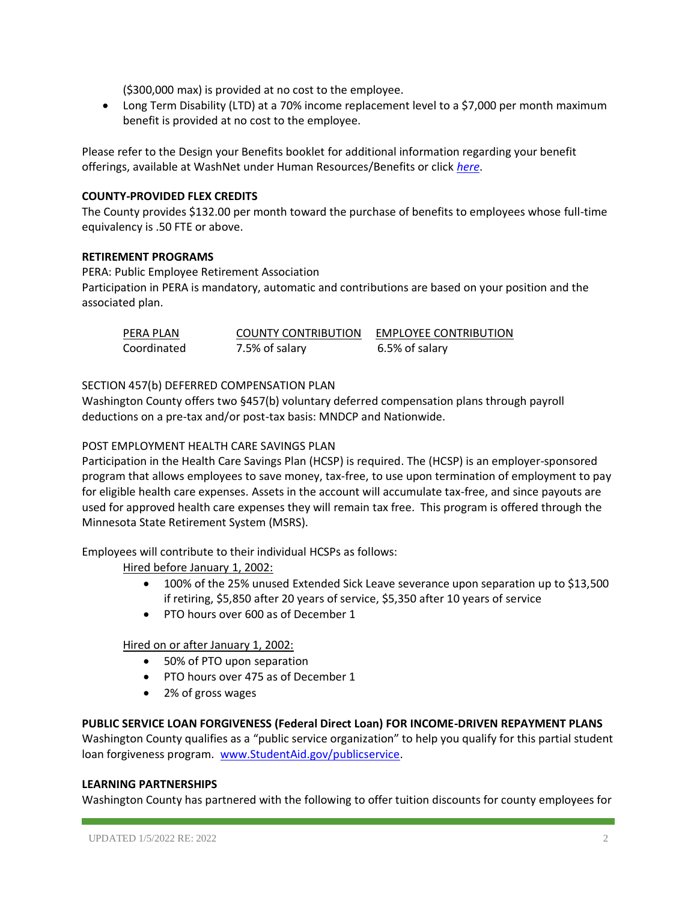(\$300,000 max) is provided at no cost to the employee.

• Long Term Disability (LTD) at a 70% income replacement level to a \$7,000 per month maximum benefit is provided at no cost to the employee.

Please refer to the Design your Benefits booklet for additional information regarding your benefit offerings, available at WashNet under Human Resources/Benefits or click *[here](https://washnet.co.washington.mn.us/depts/hr/benefits2/Shared%20Documents/CurrentBenefitBook.pdf?csf=1&e=CmQiSr)*.

## **COUNTY-PROVIDED FLEX CREDITS**

The County provides \$132.00 per month toward the purchase of benefits to employees whose full-time equivalency is .50 FTE or above.

## **RETIREMENT PROGRAMS**

PERA: Public Employee Retirement Association Participation in PERA is mandatory, automatic and contributions are based on your position and the associated plan.

| PERA PLAN   | <b>COUNTY CONTRIBUTION</b> | <b>EMPLOYEE CONTRIBUTION</b> |
|-------------|----------------------------|------------------------------|
| Coordinated | 7.5% of salary             | 6.5% of salary               |

# SECTION 457(b) DEFERRED COMPENSATION PLAN

Washington County offers two §457(b) voluntary deferred compensation plans through payroll deductions on a pre-tax and/or post-tax basis: MNDCP and Nationwide.

## POST EMPLOYMENT HEALTH CARE SAVINGS PLAN

Participation in the Health Care Savings Plan (HCSP) is required. The (HCSP) is an employer-sponsored program that allows employees to save money, tax-free, to use upon termination of employment to pay for eligible health care expenses. Assets in the account will accumulate tax-free, and since payouts are used for approved health care expenses they will remain tax free. This program is offered through the Minnesota State Retirement System (MSRS).

Employees will contribute to their individual HCSPs as follows:

Hired before January 1, 2002:

- 100% of the 25% unused Extended Sick Leave severance upon separation up to \$13,500 if retiring, \$5,850 after 20 years of service, \$5,350 after 10 years of service
- PTO hours over 600 as of December 1

# Hired on or after January 1, 2002:

- 50% of PTO upon separation
- PTO hours over 475 as of December 1
- 2% of gross wages

# **PUBLIC SERVICE LOAN FORGIVENESS (Federal Direct Loan) FOR INCOME-DRIVEN REPAYMENT PLANS**

Washington County qualifies as a "public service organization" to help you qualify for this partial student loan forgiveness program. [www.StudentAid.gov/publicservice.](http://www.studentaid.gov/publicservice)

#### **LEARNING PARTNERSHIPS**

Washington County has partnered with the following to offer tuition discounts for county employees for